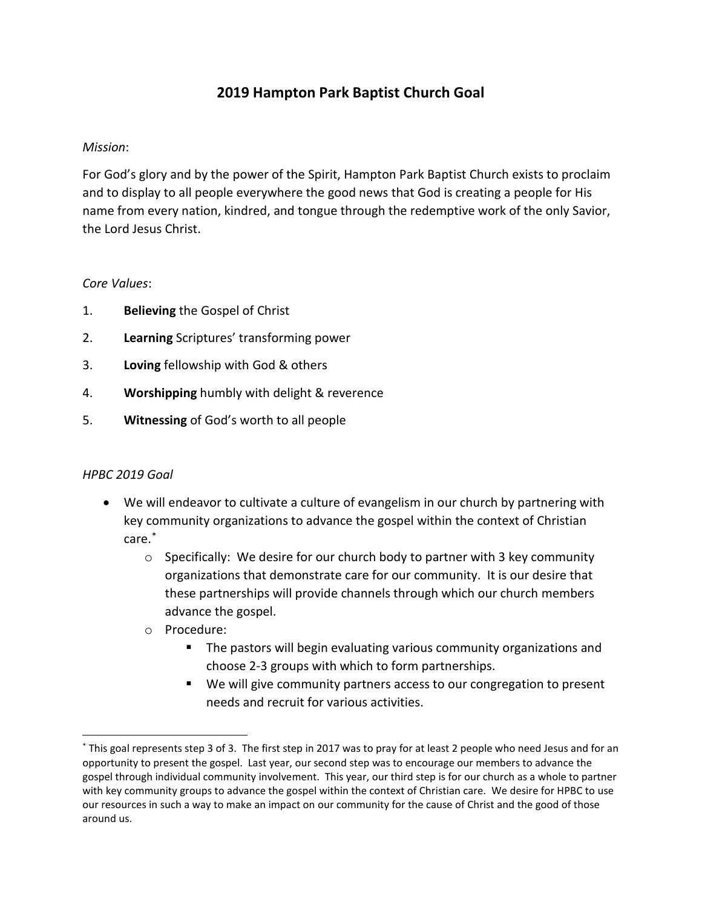## **2019 Hampton Park Baptist Church Goal**

## *Mission*:

For God's glory and by the power of the Spirit, Hampton Park Baptist Church exists to proclaim and to display to all people everywhere the good news that God is creating a people for His name from every nation, kindred, and tongue through the redemptive work of the only Savior, the Lord Jesus Christ.

## *Core Values*:

- 1. **Believing** the Gospel of Christ
- 2. **Learning** Scriptures' transforming power
- 3. **Loving** fellowship with God & others
- 4. **Worshipping** humbly with delight & reverence
- 5. **Witnessing** of God's worth to all people

## *HPBC 2019 Goal*

- We will endeavor to cultivate a culture of evangelism in our church by partnering with key community organizations to advance the gospel within the context of Christian care. [\\*](#page-0-0)
	- $\circ$  Specifically: We desire for our church body to partner with 3 key community organizations that demonstrate care for our community. It is our desire that these partnerships will provide channels through which our church members advance the gospel.
	- o Procedure:
		- **The pastors will begin evaluating various community organizations and** choose 2-3 groups with which to form partnerships.
		- We will give community partners access to our congregation to present needs and recruit for various activities.

<span id="page-0-0"></span> <sup>\*</sup> This goal represents step 3 of 3. The first step in 2017 was to pray for at least 2 people who need Jesus and for an opportunity to present the gospel. Last year, our second step was to encourage our members to advance the gospel through individual community involvement. This year, our third step is for our church as a whole to partner with key community groups to advance the gospel within the context of Christian care. We desire for HPBC to use our resources in such a way to make an impact on our community for the cause of Christ and the good of those around us.